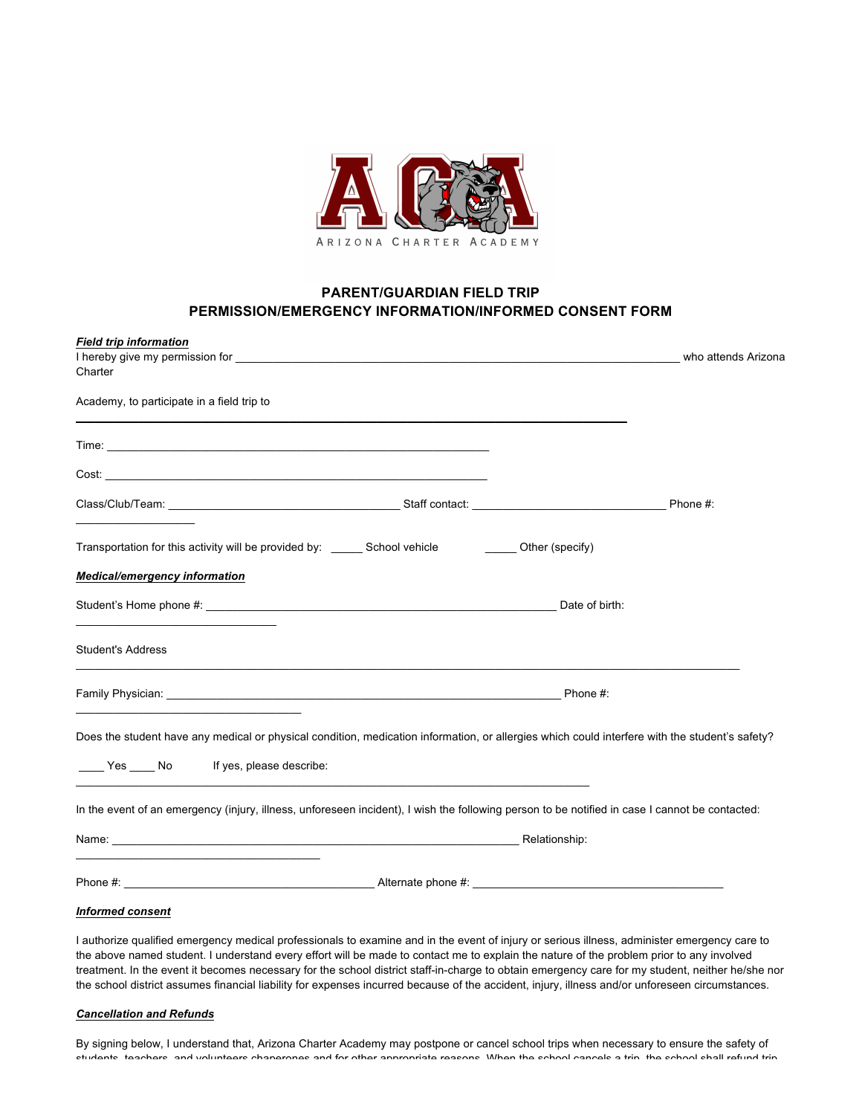

## **PARENT/GUARDIAN FIELD TRIP PERMISSION/EMERGENCY INFORMATION/INFORMED CONSENT FORM**

| <b>Field trip information</b>                                                                                                                  |          |          |
|------------------------------------------------------------------------------------------------------------------------------------------------|----------|----------|
|                                                                                                                                                |          |          |
| Charter                                                                                                                                        |          |          |
| Academy, to participate in a field trip to                                                                                                     |          |          |
|                                                                                                                                                |          |          |
|                                                                                                                                                |          |          |
|                                                                                                                                                |          | Phone #: |
| Transportation for this activity will be provided by: ______ School vehicle ________ Other (specify)                                           |          |          |
| <b>Medical/emergency information</b>                                                                                                           |          |          |
|                                                                                                                                                |          |          |
| <b>Student's Address</b>                                                                                                                       |          |          |
|                                                                                                                                                | Phone #: |          |
| Does the student have any medical or physical condition, medication information, or allergies which could interfere with the student's safety? |          |          |
| _____ Yes _____ No lf yes, please describe:                                                                                                    |          |          |
| In the event of an emergency (injury, illness, unforeseen incident), I wish the following person to be notified in case I cannot be contacted: |          |          |
|                                                                                                                                                |          |          |
| Phone #: <b>Alternate phone #:</b> Alternate phone #:                                                                                          |          |          |
| <b>Informed consent</b>                                                                                                                        |          |          |

I authorize qualified emergency medical professionals to examine and in the event of injury or serious illness, administer emergency care to the above named student. I understand every effort will be made to contact me to explain the nature of the problem prior to any involved treatment. In the event it becomes necessary for the school district staff-in-charge to obtain emergency care for my student, neither he/she nor the school district assumes financial liability for expenses incurred because of the accident, injury, illness and/or unforeseen circumstances.

## *Cancellation and Refunds*

By signing below, I understand that, Arizona Charter Academy may postpone or cancel school trips when necessary to ensure the safety of students, teachers, and volunteers chaperones and for other appropriate reasons. When the school cancels a trip, the school shall refund trip